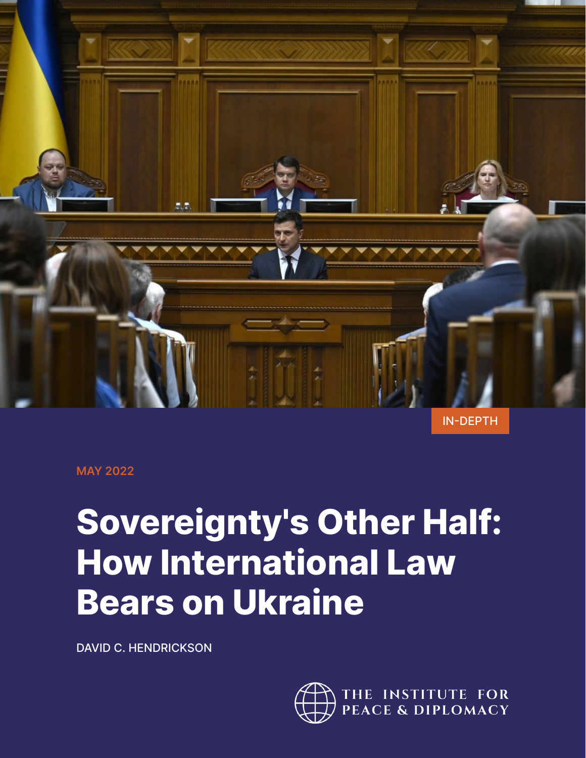

IN-DEPTH

**MAY 2022**

# **Sovereignty's Other Half: How International Law Bears on Ukraine**

DAVID C. HENDRICKSON

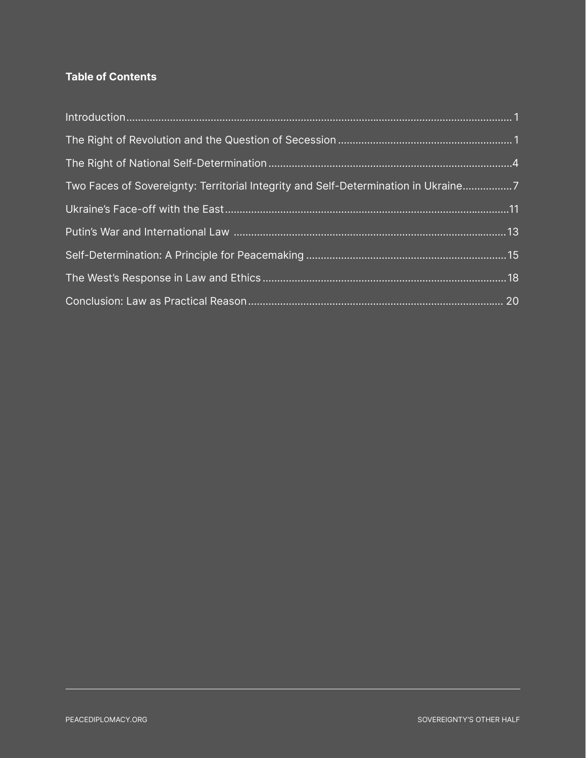# **Table of Contents**

| Two Faces of Sovereignty: Territorial Integrity and Self-Determination in Ukraine7 |  |
|------------------------------------------------------------------------------------|--|
|                                                                                    |  |
|                                                                                    |  |
|                                                                                    |  |
|                                                                                    |  |
|                                                                                    |  |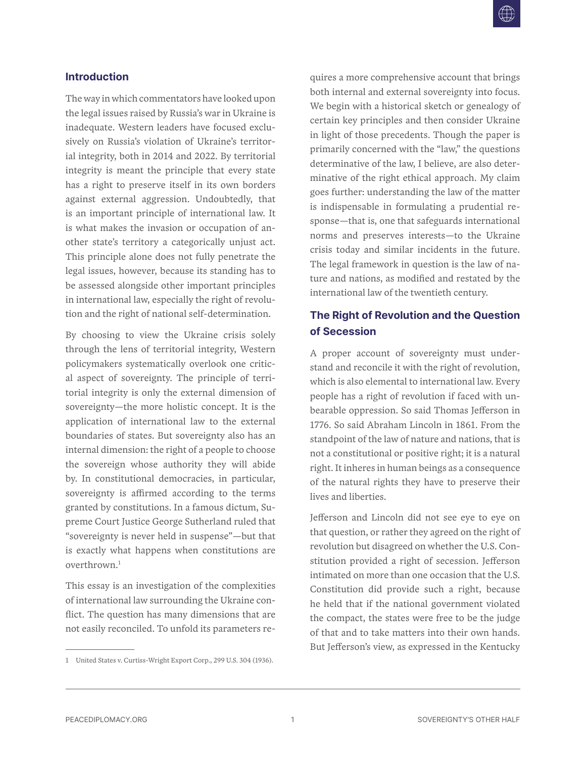#### <span id="page-2-0"></span>**Introduction**

The way in which commentators have looked upon the legal issues raised by Russia's war in Ukraine is inadequate. Western leaders have focused exclusively on Russia's violation of Ukraine's territorial integrity, both in 2014 and 2022. By territorial integrity is meant the principle that every state has a right to preserve itself in its own borders against external aggression. Undoubtedly, that is an important principle of international law. It is what makes the invasion or occupation of another state's territory a categorically unjust act. This principle alone does not fully penetrate the legal issues, however, because its standing has to be assessed alongside other important principles in international law, especially the right of revolution and the right of national self-determination.

By choosing to view the Ukraine crisis solely through the lens of territorial integrity, Western policymakers systematically overlook one critical aspect of sovereignty. The principle of territorial integrity is only the external dimension of sovereignty—the more holistic concept. It is the application of international law to the external boundaries of states. But sovereignty also has an internal dimension: the right of a people to choose the sovereign whose authority they will abide by. In constitutional democracies, in particular, sovereignty is affirmed according to the terms granted by constitutions. In a famous dictum, Supreme Court Justice George Sutherland ruled that "sovereignty is never held in suspense"—but that is exactly what happens when constitutions are  $over$ thrown<sup>1</sup>

This essay is an investigation of the complexities of international law surrounding the Ukraine conflict. The question has many dimensions that are not easily reconciled. To unfold its parameters requires a more comprehensive account that brings both internal and external sovereignty into focus. We begin with a historical sketch or genealogy of certain key principles and then consider Ukraine in light of those precedents. Though the paper is primarily concerned with the "law," the questions determinative of the law, I believe, are also determinative of the right ethical approach. My claim goes further: understanding the law of the matter is indispensable in formulating a prudential response—that is, one that safeguards international norms and preserves interests—to the Ukraine crisis today and similar incidents in the future. The legal framework in question is the law of nature and nations, as modified and restated by the international law of the twentieth century.

## **The Right of Revolution and the Question of Secession**

A proper account of sovereignty must understand and reconcile it with the right of revolution, which is also elemental to international law. Every people has a right of revolution if faced with unbearable oppression. So said Thomas Jefferson in 1776. So said Abraham Lincoln in 1861. From the standpoint of the law of nature and nations, that is not a constitutional or positive right; it is a natural right. It inheres in human beings as a consequence of the natural rights they have to preserve their lives and liberties.

Jefferson and Lincoln did not see eye to eye on that question, or rather they agreed on the right of revolution but disagreed on whether the U.S. Constitution provided a right of secession. Jefferson intimated on more than one occasion that the U.S. Constitution did provide such a right, because he held that if the national government violated the compact, the states were free to be the judge of that and to take matters into their own hands. But Jefferson's view, as expressed in the Kentucky

<sup>1</sup> United States v. Curtiss-Wright Export Corp., 299 U.S. 304 (1936).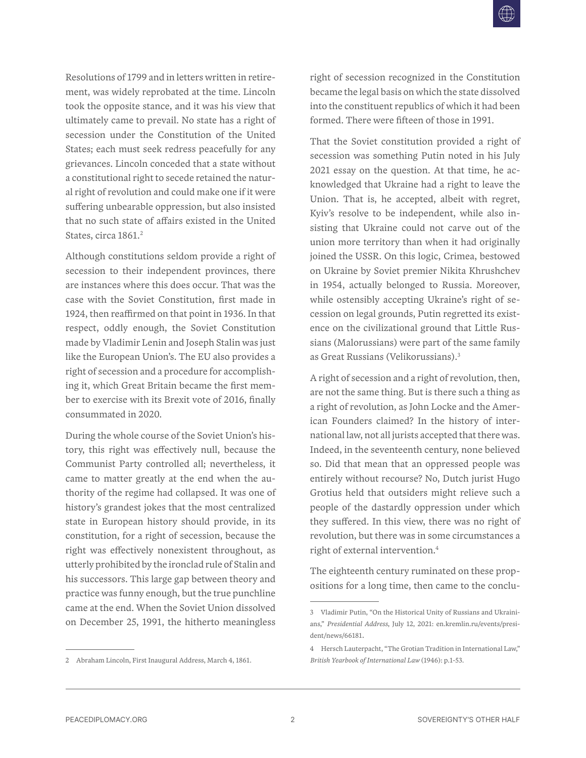Resolutions of 1799 and in letters written in retirement, was widely reprobated at the time. Lincoln took the opposite stance, and it was his view that ultimately came to prevail. No state has a right of secession under the Constitution of the United States; each must seek redress peacefully for any grievances. Lincoln conceded that a state without a constitutional right to secede retained the natural right of revolution and could make one if it were suffering unbearable oppression, but also insisted that no such state of affairs existed in the United States, circa 1861.<sup>2</sup>

Although constitutions seldom provide a right of secession to their independent provinces, there are instances where this does occur. That was the case with the Soviet Constitution, first made in 1924, then reaffirmed on that point in 1936. In that respect, oddly enough, the Soviet Constitution made by Vladimir Lenin and Joseph Stalin was just like the European Union's. The EU also provides a right of secession and a procedure for accomplishing it, which Great Britain became the first member to exercise with its Brexit vote of 2016, finally consummated in 2020.

During the whole course of the Soviet Union's history, this right was effectively null, because the Communist Party controlled all; nevertheless, it came to matter greatly at the end when the authority of the regime had collapsed. It was one of history's grandest jokes that the most centralized state in European history should provide, in its constitution, for a right of secession, because the right was effectively nonexistent throughout, as utterly prohibited by the ironclad rule of Stalin and his successors. This large gap between theory and practice was funny enough, but the true punchline came at the end. When the Soviet Union dissolved on December 25, 1991, the hitherto meaningless

2 Abraham Lincoln, First Inaugural Address, March 4, 1861.

right of secession recognized in the Constitution became the legal basis on which the state dissolved into the constituent republics of which it had been formed. There were fifteen of those in 1991.

That the Soviet constitution provided a right of secession was something Putin noted in his July 2021 essay on the question. At that time, he acknowledged that Ukraine had a right to leave the Union. That is, he accepted, albeit with regret, Kyiv's resolve to be independent, while also insisting that Ukraine could not carve out of the union more territory than when it had originally joined the USSR. On this logic, Crimea, bestowed on Ukraine by Soviet premier Nikita Khrushchev in 1954, actually belonged to Russia. Moreover, while ostensibly accepting Ukraine's right of secession on legal grounds, Putin regretted its existence on the civilizational ground that Little Russians (Malorussians) were part of the same family as Great Russians (Velikorussians).3

A right of secession and a right of revolution, then, are not the same thing. But is there such a thing as a right of revolution, as John Locke and the American Founders claimed? In the history of international law, not all jurists accepted that there was. Indeed, in the seventeenth century, none believed so. Did that mean that an oppressed people was entirely without recourse? No, Dutch jurist Hugo Grotius held that outsiders might relieve such a people of the dastardly oppression under which they suffered. In this view, there was no right of revolution, but there was in some circumstances a right of external intervention.4

The eighteenth century ruminated on these propositions for a long time, then came to the conclu-

<sup>3</sup> Vladimir Putin, "On the Historical Unity of Russians and Ukrainians," *Presidential Address*, July 12, 2021: en.kremlin.ru/events/president/news/66181.

<sup>4</sup> Hersch Lauterpacht, "The Grotian Tradition in International Law," *British Yearbook of International Law* (1946): p.1-53.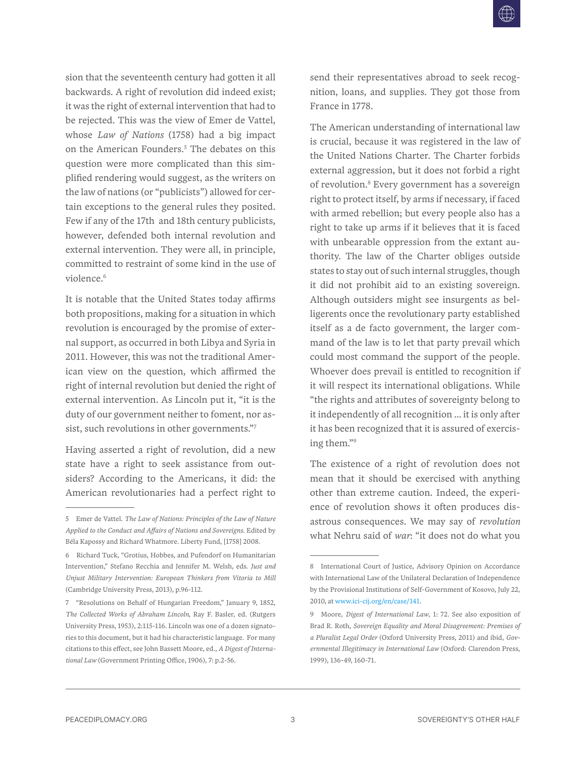sion that the seventeenth century had gotten it all backwards. A right of revolution did indeed exist; it was the right of external intervention that had to be rejected. This was the view of Emer de Vattel, whose *Law of Nations* (1758) had a big impact on the American Founders.<sup>5</sup> The debates on this question were more complicated than this simplified rendering would suggest, as the writers on the law of nations (or "publicists") allowed for certain exceptions to the general rules they posited. Few if any of the 17th and 18th century publicists, however, defended both internal revolution and external intervention. They were all, in principle, committed to restraint of some kind in the use of violence<sup>6</sup>

It is notable that the United States today affirms both propositions, making for a situation in which revolution is encouraged by the promise of external support, as occurred in both Libya and Syria in 2011. However, this was not the traditional American view on the question, which affirmed the right of internal revolution but denied the right of external intervention. As Lincoln put it, "it is the duty of our government neither to foment, nor assist, such revolutions in other governments."7

Having asserted a right of revolution, did a new state have a right to seek assistance from outsiders? According to the Americans, it did: the American revolutionaries had a perfect right to send their representatives abroad to seek recognition, loans, and supplies. They got those from France in 1778.

The American understanding of international law is crucial, because it was registered in the law of the United Nations Charter. The Charter forbids external aggression, but it does not forbid a right of revolution.<sup>8</sup> Every government has a sovereign right to protect itself, by arms if necessary, if faced with armed rebellion; but every people also has a right to take up arms if it believes that it is faced with unbearable oppression from the extant authority. The law of the Charter obliges outside states to stay out of such internal struggles, though it did not prohibit aid to an existing sovereign. Although outsiders might see insurgents as belligerents once the revolutionary party established itself as a de facto government, the larger command of the law is to let that party prevail which could most command the support of the people. Whoever does prevail is entitled to recognition if it will respect its international obligations. While "the rights and attributes of sovereignty belong to it independently of all recognition … it is only after it has been recognized that it is assured of exercising them."9

The existence of a right of revolution does not mean that it should be exercised with anything other than extreme caution. Indeed, the experience of revolution shows it often produces disastrous consequences. We may say of *revolution* what Nehru said of *war*: "it does not do what you

<sup>5</sup> Emer de Vattel. *The Law of Nations: Principles of the Law of Nature Applied to the Conduct and Affairs of Nations and Sovereigns.* Edited by Béla Kapossy and Richard Whatmore. Liberty Fund, [1758] 2008.

<sup>6</sup> Richard Tuck, "Grotius, Hobbes, and Pufendorf on Humanitarian Intervention," Stefano Recchia and Jennifer M. Welsh, eds. *Just and Unjust Military Intervention: European Thinkers from Vitoria to Mill* (Cambridge University Press, 2013), p.96-112.

<sup>7</sup> "Resolutions on Behalf of Hungarian Freedom," January 9, 1852, *The Collected Works of Abraham Lincoln*, Ray F. Basler, ed. (Rutgers University Press, 1953), 2:115-116. Lincoln was one of a dozen signatories to this document, but it had his characteristic language. For many citations to this effect, see John Bassett Moore, ed., *A Digest of International Law* (Government Printing Office, 1906), 7: p.2-56.

<sup>8</sup> International Court of Justice, Advisory Opinion on Accordance with International Law of the Unilateral Declaration of Independence by the Provisional Institutions of Self-Government of Kosovo, July 22, 2010, at www.ici-cij.org/en/case/141.

<sup>9</sup> Moore, *Digest of International Law*, 1: 72. See also exposition of Brad R. Roth, *Sovereign Equality and Moral Disagreement: Premises of a Pluralist Legal Order* (Oxford University Press, 2011) and ibid, *Governmental Illegitimacy in International Law* (Oxford: Clarendon Press, 1999), 136-49, 160-71.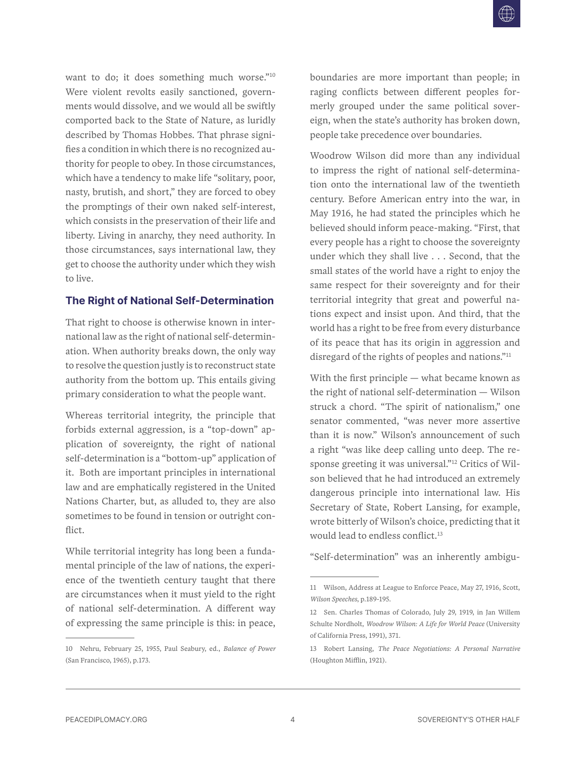<span id="page-5-0"></span>want to do; it does something much worse."<sup>10</sup> Were violent revolts easily sanctioned, governments would dissolve, and we would all be swiftly comported back to the State of Nature, as luridly described by Thomas Hobbes. That phrase signifies a condition in which there is no recognized authority for people to obey. In those circumstances, which have a tendency to make life "solitary, poor, nasty, brutish, and short," they are forced to obey the promptings of their own naked self-interest, which consists in the preservation of their life and liberty. Living in anarchy, they need authority. In those circumstances, says international law, they get to choose the authority under which they wish to live.

#### **The Right of National Self-Determination**

That right to choose is otherwise known in international law as the right of national self-determination. When authority breaks down, the only way to resolve the question justly is to reconstruct state authority from the bottom up. This entails giving primary consideration to what the people want.

Whereas territorial integrity, the principle that forbids external aggression, is a "top-down" application of sovereignty, the right of national self-determination is a "bottom-up" application of it. Both are important principles in international law and are emphatically registered in the United Nations Charter, but, as alluded to, they are also sometimes to be found in tension or outright conflict.

While territorial integrity has long been a fundamental principle of the law of nations, the experience of the twentieth century taught that there are circumstances when it must yield to the right of national self-determination. A different way of expressing the same principle is this: in peace, boundaries are more important than people; in raging conflicts between different peoples formerly grouped under the same political sovereign, when the state's authority has broken down, people take precedence over boundaries.

Woodrow Wilson did more than any individual to impress the right of national self-determination onto the international law of the twentieth century. Before American entry into the war, in May 1916, he had stated the principles which he believed should inform peace-making. "First, that every people has a right to choose the sovereignty under which they shall live . . . Second, that the small states of the world have a right to enjoy the same respect for their sovereignty and for their territorial integrity that great and powerful nations expect and insist upon. And third, that the world has a right to be free from every disturbance of its peace that has its origin in aggression and disregard of the rights of peoples and nations."<sup>11</sup>

With the first principle — what became known as the right of national self-determination — Wilson struck a chord. "The spirit of nationalism," one senator commented, "was never more assertive than it is now." Wilson's announcement of such a right "was like deep calling unto deep. The response greeting it was universal."12 Critics of Wilson believed that he had introduced an extremely dangerous principle into international law. His Secretary of State, Robert Lansing, for example, wrote bitterly of Wilson's choice, predicting that it would lead to endless conflict.<sup>13</sup>

"Self-determination" was an inherently ambigu-

<sup>10</sup> Nehru, February 25, 1955, Paul Seabury, ed., *Balance of Power* (San Francisco, 1965), p.173.

<sup>11</sup> Wilson, Address at League to Enforce Peace, May 27, 1916, Scott, *Wilson Speeches*, p.189-195.

<sup>12</sup> Sen. Charles Thomas of Colorado, July 29, 1919, in Jan Willem Schulte Nordholt, *Woodrow Wilson: A Life for World Peace* (University of California Press, 1991), 371.

<sup>13</sup> Robert Lansing, *The Peace Negotiations: A Personal Narrative* (Houghton Mifflin, 1921).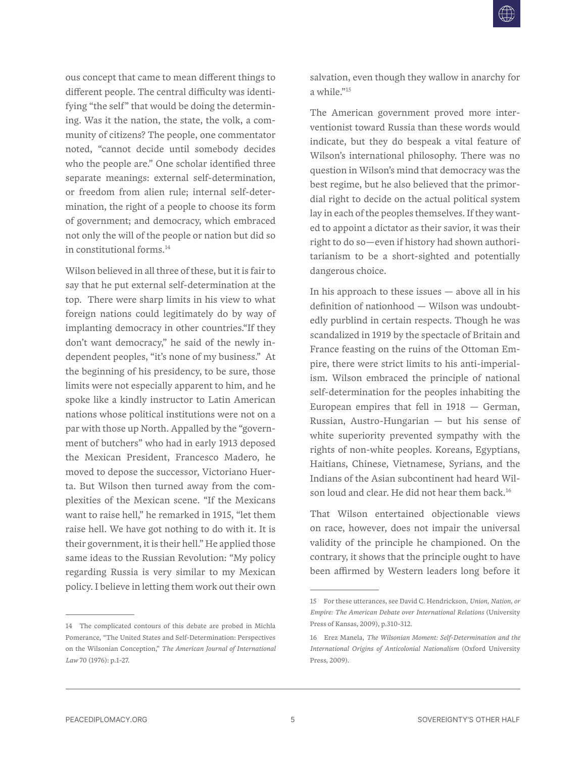ous concept that came to mean different things to different people. The central difficulty was identifying "the self" that would be doing the determining. Was it the nation, the state, the volk, a community of citizens? The people, one commentator noted, "cannot decide until somebody decides who the people are." One scholar identified three separate meanings: external self-determination, or freedom from alien rule; internal self-determination, the right of a people to choose its form of government; and democracy, which embraced not only the will of the people or nation but did so in constitutional forms.14

Wilson believed in all three of these, but it is fair to say that he put external self-determination at the top. There were sharp limits in his view to what foreign nations could legitimately do by way of implanting democracy in other countries."If they don't want democracy," he said of the newly independent peoples, "it's none of my business." At the beginning of his presidency, to be sure, those limits were not especially apparent to him, and he spoke like a kindly instructor to Latin American nations whose political institutions were not on a par with those up North. Appalled by the "government of butchers" who had in early 1913 deposed the Mexican President, Francesco Madero, he moved to depose the successor, Victoriano Huerta. But Wilson then turned away from the complexities of the Mexican scene. "If the Mexicans want to raise hell," he remarked in 1915, "let them raise hell. We have got nothing to do with it. It is their government, it is their hell." He applied those same ideas to the Russian Revolution: "My policy regarding Russia is very similar to my Mexican policy. I believe in letting them work out their own

14 The complicated contours of this debate are probed in Michla Pomerance, "The United States and Self-Determination: Perspectives on the Wilsonian Conception," *The American Journal of International Law* 70 (1976): p.1-27.

salvation, even though they wallow in anarchy for a while."15

The American government proved more interventionist toward Russia than these words would indicate, but they do bespeak a vital feature of Wilson's international philosophy. There was no question in Wilson's mind that democracy was the best regime, but he also believed that the primordial right to decide on the actual political system lay in each of the peoples themselves. If they wanted to appoint a dictator as their savior, it was their right to do so—even if history had shown authoritarianism to be a short-sighted and potentially dangerous choice.

In his approach to these issues  $-$  above all in his definition of nationhood — Wilson was undoubtedly purblind in certain respects. Though he was scandalized in 1919 by the spectacle of Britain and France feasting on the ruins of the Ottoman Empire, there were strict limits to his anti-imperialism. Wilson embraced the principle of national self-determination for the peoples inhabiting the European empires that fell in  $1918 - \text{German}$ , Russian, Austro-Hungarian — but his sense of white superiority prevented sympathy with the rights of non-white peoples. Koreans, Egyptians, Haitians, Chinese, Vietnamese, Syrians, and the Indians of the Asian subcontinent had heard Wilson loud and clear. He did not hear them back.<sup>16</sup>

That Wilson entertained objectionable views on race, however, does not impair the universal validity of the principle he championed. On the contrary, it shows that the principle ought to have been affirmed by Western leaders long before it

<sup>15</sup> For these utterances, see David C. Hendrickson, *Union, Nation, or Empire: The American Debate over International Relations* (University Press of Kansas, 2009), p.310-312.

<sup>16</sup> Erez Manela, *The Wilsonian Moment: Self-Determination and the International Origins of Anticolonial Nationalism* (Oxford University Press, 2009).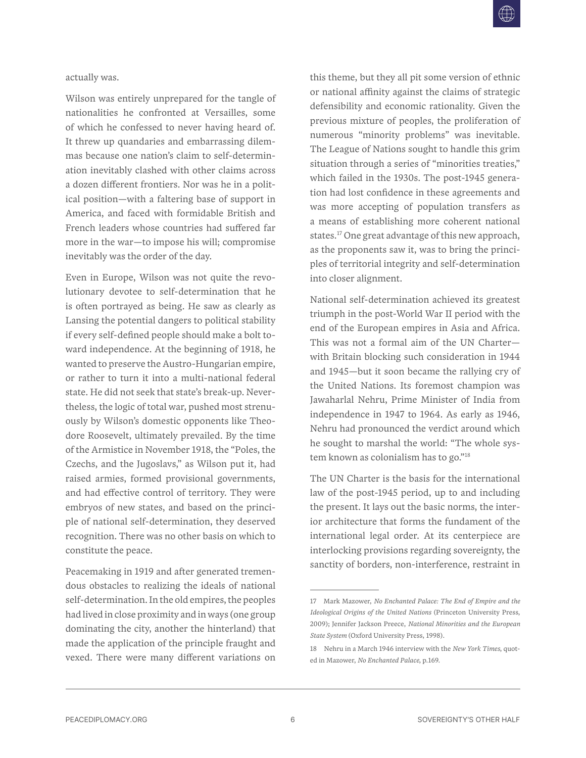actually was.

Wilson was entirely unprepared for the tangle of nationalities he confronted at Versailles, some of which he confessed to never having heard of. It threw up quandaries and embarrassing dilemmas because one nation's claim to self-determination inevitably clashed with other claims across a dozen different frontiers. Nor was he in a political position—with a faltering base of support in America, and faced with formidable British and French leaders whose countries had suffered far more in the war—to impose his will; compromise inevitably was the order of the day.

Even in Europe, Wilson was not quite the revolutionary devotee to self-determination that he is often portrayed as being. He saw as clearly as Lansing the potential dangers to political stability if every self-defined people should make a bolt toward independence. At the beginning of 1918, he wanted to preserve the Austro-Hungarian empire, or rather to turn it into a multi-national federal state. He did not seek that state's break-up. Nevertheless, the logic of total war, pushed most strenuously by Wilson's domestic opponents like Theodore Roosevelt, ultimately prevailed. By the time of the Armistice in November 1918, the "Poles, the Czechs, and the Jugoslavs," as Wilson put it, had raised armies, formed provisional governments, and had effective control of territory. They were embryos of new states, and based on the principle of national self-determination, they deserved recognition. There was no other basis on which to constitute the peace.

Peacemaking in 1919 and after generated tremendous obstacles to realizing the ideals of national self-determination. In the old empires, the peoples had lived in close proximity and in ways (one group dominating the city, another the hinterland) that made the application of the principle fraught and vexed. There were many different variations on

this theme, but they all pit some version of ethnic or national affinity against the claims of strategic defensibility and economic rationality. Given the previous mixture of peoples, the proliferation of numerous "minority problems" was inevitable. The League of Nations sought to handle this grim situation through a series of "minorities treaties," which failed in the 1930s. The post-1945 generation had lost confidence in these agreements and was more accepting of population transfers as a means of establishing more coherent national states.<sup>17</sup> One great advantage of this new approach, as the proponents saw it, was to bring the principles of territorial integrity and self-determination into closer alignment.

National self-determination achieved its greatest triumph in the post-World War II period with the end of the European empires in Asia and Africa. This was not a formal aim of the UN Charter with Britain blocking such consideration in 1944 and 1945—but it soon became the rallying cry of the United Nations. Its foremost champion was Jawaharlal Nehru, Prime Minister of India from independence in 1947 to 1964. As early as 1946, Nehru had pronounced the verdict around which he sought to marshal the world: "The whole system known as colonialism has to go."18

The UN Charter is the basis for the international law of the post-1945 period, up to and including the present. It lays out the basic norms, the interior architecture that forms the fundament of the international legal order. At its centerpiece are interlocking provisions regarding sovereignty, the sanctity of borders, non-interference, restraint in

<sup>17</sup> Mark Mazower, *No Enchanted Palace: The End of Empire and the Ideological Origins of the United Nations* (Princeton University Press, 2009); Jennifer Jackson Preece, *National Minorities and the European State System* (Oxford University Press, 1998).

<sup>18</sup> Nehru in a March 1946 interview with the *New York Times*, quoted in Mazower, *No Enchanted Palace*, p.169.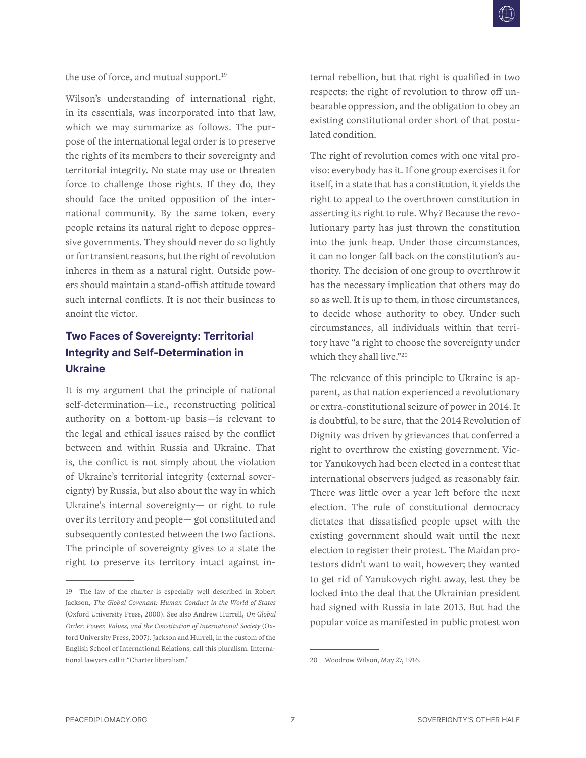<span id="page-8-0"></span>the use of force, and mutual support.<sup>19</sup>

Wilson's understanding of international right, in its essentials, was incorporated into that law, which we may summarize as follows. The purpose of the international legal order is to preserve the rights of its members to their sovereignty and territorial integrity. No state may use or threaten force to challenge those rights. If they do, they should face the united opposition of the international community. By the same token, every people retains its natural right to depose oppressive governments. They should never do so lightly or for transient reasons, but the right of revolution inheres in them as a natural right. Outside powers should maintain a stand-offish attitude toward such internal conflicts. It is not their business to anoint the victor.

# **Two Faces of Sovereignty: Territorial Integrity and Self-Determination in Ukraine**

It is my argument that the principle of national self-determination—i.e., reconstructing political authority on a bottom-up basis—is relevant to the legal and ethical issues raised by the conflict between and within Russia and Ukraine. That is, the conflict is not simply about the violation of Ukraine's territorial integrity (external sovereignty) by Russia, but also about the way in which Ukraine's internal sovereignty— or right to rule over its territory and people— got constituted and subsequently contested between the two factions. The principle of sovereignty gives to a state the right to preserve its territory intact against internal rebellion, but that right is qualified in two respects: the right of revolution to throw off unbearable oppression, and the obligation to obey an existing constitutional order short of that postulated condition.

The right of revolution comes with one vital proviso: everybody has it. If one group exercises it for itself, in a state that has a constitution, it yields the right to appeal to the overthrown constitution in asserting its right to rule. Why? Because the revolutionary party has just thrown the constitution into the junk heap. Under those circumstances, it can no longer fall back on the constitution's authority. The decision of one group to overthrow it has the necessary implication that others may do so as well. It is up to them, in those circumstances, to decide whose authority to obey. Under such circumstances, all individuals within that territory have "a right to choose the sovereignty under which they shall live."20

The relevance of this principle to Ukraine is apparent, as that nation experienced a revolutionary or extra-constitutional seizure of power in 2014. It is doubtful, to be sure, that the 2014 Revolution of Dignity was driven by grievances that conferred a right to overthrow the existing government. Victor Yanukovych had been elected in a contest that international observers judged as reasonably fair. There was little over a year left before the next election. The rule of constitutional democracy dictates that dissatisfied people upset with the existing government should wait until the next election to register their protest. The Maidan protestors didn't want to wait, however; they wanted to get rid of Yanukovych right away, lest they be locked into the deal that the Ukrainian president had signed with Russia in late 2013. But had the popular voice as manifested in public protest won

<sup>19</sup> The law of the charter is especially well described in Robert Jackson, *The Global Covenant: Human Conduct in the World of States* (Oxford University Press, 2000). See also Andrew Hurrell, *On Global Order: Power, Values, and the Constitution of International Society* (Oxford University Press, 2007). Jackson and Hurrell, in the custom of the English School of International Relations, call this pluralism. International lawyers call it "Charter liberalism."

<sup>20</sup> Woodrow Wilson, May 27, 1916.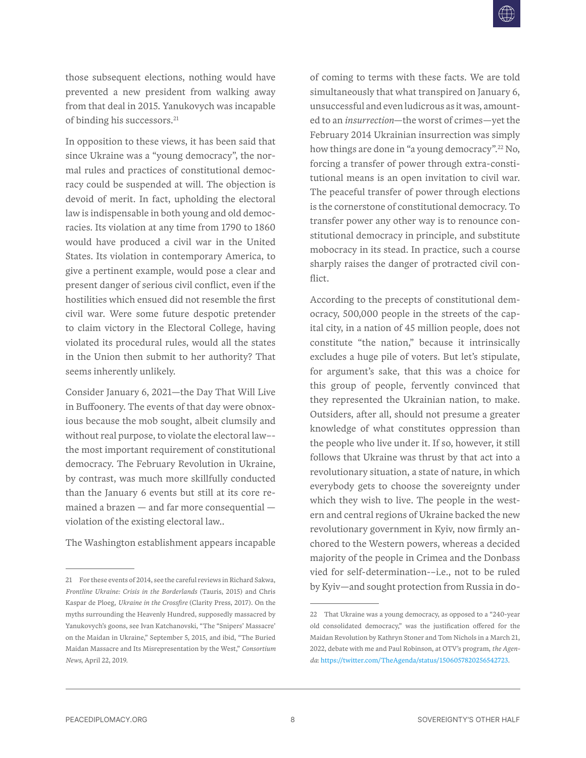those subsequent elections, nothing would have prevented a new president from walking away from that deal in 2015. Yanukovych was incapable of binding his successors.<sup>21</sup>

In opposition to these views, it has been said that since Ukraine was a "young democracy", the normal rules and practices of constitutional democracy could be suspended at will. The objection is devoid of merit. In fact, upholding the electoral law is indispensable in both young and old democracies. Its violation at any time from 1790 to 1860 would have produced a civil war in the United States. Its violation in contemporary America, to give a pertinent example, would pose a clear and present danger of serious civil conflict, even if the hostilities which ensued did not resemble the first civil war. Were some future despotic pretender to claim victory in the Electoral College, having violated its procedural rules, would all the states in the Union then submit to her authority? That seems inherently unlikely.

Consider January 6, 2021—the Day That Will Live in Buffoonery. The events of that day were obnoxious because the mob sought, albeit clumsily and without real purpose, to violate the electoral law– the most important requirement of constitutional democracy. The February Revolution in Ukraine, by contrast, was much more skillfully conducted than the January 6 events but still at its core remained a brazen — and far more consequential violation of the existing electoral law..

The Washington establishment appears incapable

of coming to terms with these facts. We are told simultaneously that what transpired on January 6, unsuccessful and even ludicrous as it was, amounted to an *insurrection*—the worst of crimes—yet the February 2014 Ukrainian insurrection was simply how things are done in "a young democracy".22 No, forcing a transfer of power through extra-constitutional means is an open invitation to civil war. The peaceful transfer of power through elections is the cornerstone of constitutional democracy. To transfer power any other way is to renounce constitutional democracy in principle, and substitute mobocracy in its stead. In practice, such a course sharply raises the danger of protracted civil conflict.

According to the precepts of constitutional democracy, 500,000 people in the streets of the capital city, in a nation of 45 million people, does not constitute "the nation," because it intrinsically excludes a huge pile of voters. But let's stipulate, for argument's sake, that this was a choice for this group of people, fervently convinced that they represented the Ukrainian nation, to make. Outsiders, after all, should not presume a greater knowledge of what constitutes oppression than the people who live under it. If so, however, it still follows that Ukraine was thrust by that act into a revolutionary situation, a state of nature, in which everybody gets to choose the sovereignty under which they wish to live. The people in the western and central regions of Ukraine backed the new revolutionary government in Kyiv, now firmly anchored to the Western powers, whereas a decided majority of the people in Crimea and the Donbass vied for self-determination-–i.e., not to be ruled by Kyiv—and sought protection from Russia in do-

<sup>21</sup> For these events of 2014, see the careful reviews in Richard Sakwa, *Frontline Ukraine: Crisis in the Borderlands* (Tauris, 2015) and Chris Kaspar de Ploeg, *Ukraine in the Crossfire* (Clarity Press, 2017). On the myths surrounding the Heavenly Hundred, supposedly massacred by Yanukovych's goons, see Ivan Katchanovski, "The "Snipers' Massacre' on the Maidan in Ukraine," September 5, 2015, and ibid, "The Buried Maidan Massacre and Its Misrepresentation by the West," *Consortium News*, April 22, 2019.

<sup>22</sup> That Ukraine was a young democracy, as opposed to a "240-year old consolidated democracy," was the justification offered for the Maidan Revolution by Kathryn Stoner and Tom Nichols in a March 21, 2022, debate with me and Paul Robinson, at OTV's program, *the Agenda*: [https://twitter.com/TheAgenda/status/1506057820256542723.](https://twitter.com/TheAgenda/status/1506057820256542723)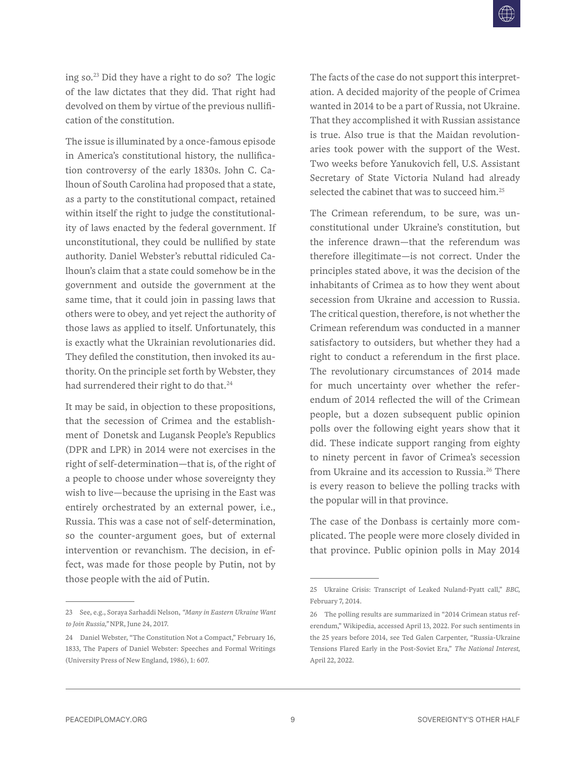ing so. $^{23}$  Did they have a right to do so? The logic of the law dictates that they did. That right had devolved on them by virtue of the previous nullification of the constitution.

The issue is illuminated by a once-famous episode in America's constitutional history, the nullification controversy of the early 1830s. John C. Calhoun of South Carolina had proposed that a state, as a party to the constitutional compact, retained within itself the right to judge the constitutionality of laws enacted by the federal government. If unconstitutional, they could be nullified by state authority. Daniel Webster's rebuttal ridiculed Calhoun's claim that a state could somehow be in the government and outside the government at the same time, that it could join in passing laws that others were to obey, and yet reject the authority of those laws as applied to itself. Unfortunately, this is exactly what the Ukrainian revolutionaries did. They defiled the constitution, then invoked its authority. On the principle set forth by Webster, they had surrendered their right to do that.<sup>24</sup>

It may be said, in objection to these propositions, that the secession of Crimea and the establishment of Donetsk and Lugansk People's Republics (DPR and LPR) in 2014 were not exercises in the right of self-determination—that is, of the right of a people to choose under whose sovereignty they wish to live—because the uprising in the East was entirely orchestrated by an external power, i.e., Russia. This was a case not of self-determination, so the counter-argument goes, but of external intervention or revanchism. The decision, in effect, was made for those people by Putin, not by those people with the aid of Putin.

The facts of the case do not support this interpretation. A decided majority of the people of Crimea wanted in 2014 to be a part of Russia, not Ukraine. That they accomplished it with Russian assistance is true. Also true is that the Maidan revolutionaries took power with the support of the West. Two weeks before Yanukovich fell, U.S. Assistant Secretary of State Victoria Nuland had already selected the cabinet that was to succeed him.<sup>25</sup>

The Crimean referendum, to be sure, was unconstitutional under Ukraine's constitution, but the inference drawn—that the referendum was therefore illegitimate—is not correct. Under the principles stated above, it was the decision of the inhabitants of Crimea as to how they went about secession from Ukraine and accession to Russia. The critical question, therefore, is not whether the Crimean referendum was conducted in a manner satisfactory to outsiders, but whether they had a right to conduct a referendum in the first place. The revolutionary circumstances of 2014 made for much uncertainty over whether the referendum of 2014 reflected the will of the Crimean people, but a dozen subsequent public opinion polls over the following eight years show that it did. These indicate support ranging from eighty to ninety percent in favor of Crimea's secession from Ukraine and its accession to Russia.<sup>26</sup> There is every reason to believe the polling tracks with the popular will in that province.

The case of the Donbass is certainly more complicated. The people were more closely divided in that province. Public opinion polls in May 2014

<sup>23</sup> See, e.g., Soraya Sarhaddi Nelson, *"Many in Eastern Ukraine Want to Join Russia,"* NPR, June 24, 2017.

<sup>24</sup> Daniel Webster, "The Constitution Not a Compact," February 16, 1833, The Papers of Daniel Webster: Speeches and Formal Writings (University Press of New England, 1986), 1: 607.

<sup>25</sup> Ukraine Crisis: Transcript of Leaked Nuland-Pyatt call," *BBC*, February 7, 2014.

<sup>26</sup> The polling results are summarized in "2014 Crimean status referendum," Wikipedia, accessed April 13, 2022. For such sentiments in the 25 years before 2014, see Ted Galen Carpenter, "Russia-Ukraine Tensions Flared Early in the Post-Soviet Era," *The National Interest*, April 22, 2022.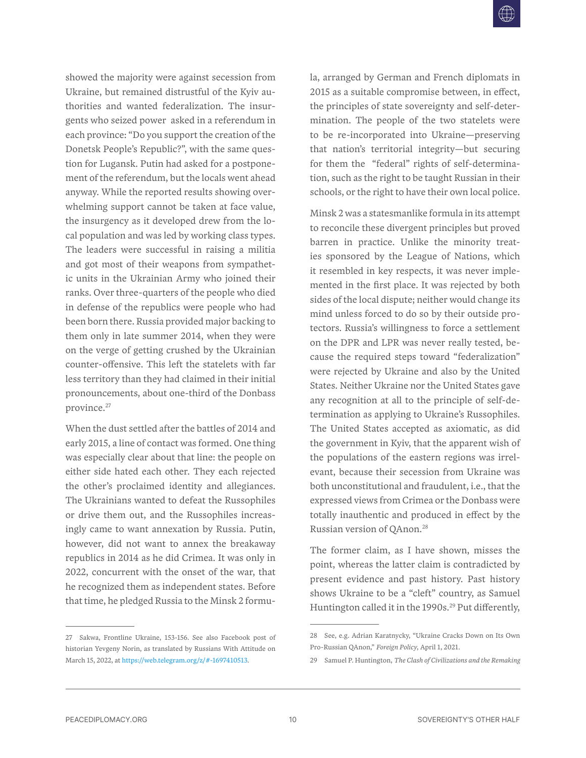showed the majority were against secession from Ukraine, but remained distrustful of the Kyiv authorities and wanted federalization. The insurgents who seized power asked in a referendum in each province: "Do you support the creation of the Donetsk People's Republic?", with the same question for Lugansk. Putin had asked for a postponement of the referendum, but the locals went ahead anyway. While the reported results showing overwhelming support cannot be taken at face value, the insurgency as it developed drew from the local population and was led by working class types. The leaders were successful in raising a militia and got most of their weapons from sympathetic units in the Ukrainian Army who joined their ranks. Over three-quarters of the people who died in defense of the republics were people who had been born there. Russia provided major backing to them only in late summer 2014, when they were on the verge of getting crushed by the Ukrainian counter-offensive. This left the statelets with far less territory than they had claimed in their initial pronouncements, about one-third of the Donbass province.27

When the dust settled after the battles of 2014 and early 2015, a line of contact was formed. One thing was especially clear about that line: the people on either side hated each other. They each rejected the other's proclaimed identity and allegiances. The Ukrainians wanted to defeat the Russophiles or drive them out, and the Russophiles increasingly came to want annexation by Russia. Putin, however, did not want to annex the breakaway republics in 2014 as he did Crimea. It was only in 2022, concurrent with the onset of the war, that he recognized them as independent states. Before that time, he pledged Russia to the Minsk 2 formu-

27 Sakwa, Frontline Ukraine, 153-156. See also Facebook post of historian Yevgeny Norin, as translated by Russians With Attitude on March 15, 2022, at [https://web.telegram.org/z/#-1697410513.](https://web.telegram.org/z/#-1697410513)

la, arranged by German and French diplomats in 2015 as a suitable compromise between, in effect, the principles of state sovereignty and self-determination. The people of the two statelets were to be re-incorporated into Ukraine—preserving that nation's territorial integrity—but securing for them the "federal" rights of self-determination, such as the right to be taught Russian in their schools, or the right to have their own local police.

Minsk 2 was a statesmanlike formula in its attempt to reconcile these divergent principles but proved barren in practice. Unlike the minority treaties sponsored by the League of Nations, which it resembled in key respects, it was never implemented in the first place. It was rejected by both sides of the local dispute; neither would change its mind unless forced to do so by their outside protectors. Russia's willingness to force a settlement on the DPR and LPR was never really tested, because the required steps toward "federalization" were rejected by Ukraine and also by the United States. Neither Ukraine nor the United States gave any recognition at all to the principle of self-determination as applying to Ukraine's Russophiles. The United States accepted as axiomatic, as did the government in Kyiv, that the apparent wish of the populations of the eastern regions was irrelevant, because their secession from Ukraine was both unconstitutional and fraudulent, i.e., that the expressed views from Crimea or the Donbass were totally inauthentic and produced in effect by the Russian version of QAnon.28

The former claim, as I have shown, misses the point, whereas the latter claim is contradicted by present evidence and past history. Past history shows Ukraine to be a "cleft" country, as Samuel Huntington called it in the 1990s.<sup>29</sup> Put differently,

<sup>28</sup> See, e.g. Adrian Karatnycky, "Ukraine Cracks Down on Its Own Pro-Russian QAnon," *Foreign Policy*, April 1, 2021.

<sup>29</sup> Samuel P. Huntington, *The Clash of Civilizations and the Remaking*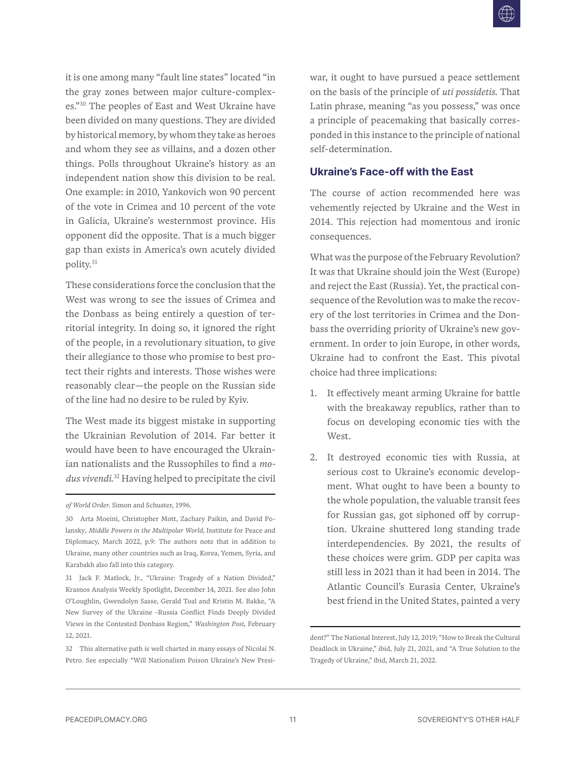<span id="page-12-0"></span>it is one among many "fault line states" located "in the gray zones between major culture-complexes."30 The peoples of East and West Ukraine have been divided on many questions. They are divided by historical memory, by whom they take as heroes and whom they see as villains, and a dozen other things. Polls throughout Ukraine's history as an independent nation show this division to be real. One example: in 2010, Yankovich won 90 percent of the vote in Crimea and 10 percent of the vote in Galicia, Ukraine's westernmost province. His opponent did the opposite. That is a much bigger gap than exists in America's own acutely divided polity.31

These considerations force the conclusion that the West was wrong to see the issues of Crimea and the Donbass as being entirely a question of territorial integrity. In doing so, it ignored the right of the people, in a revolutionary situation, to give their allegiance to those who promise to best protect their rights and interests. Those wishes were reasonably clear—the people on the Russian side of the line had no desire to be ruled by Kyiv.

The West made its biggest mistake in supporting the Ukrainian Revolution of 2014. Far better it would have been to have encouraged the Ukrainian nationalists and the Russophiles to find a *modus vivendi*. 32 Having helped to precipitate the civil war, it ought to have pursued a peace settlement on the basis of the principle of *uti possidetis*. That Latin phrase, meaning "as you possess," was once a principle of peacemaking that basically corresponded in this instance to the principle of national self-determination.

### **Ukraine's Face-off with the East**

The course of action recommended here was vehemently rejected by Ukraine and the West in 2014. This rejection had momentous and ironic consequences.

What was the purpose of the February Revolution? It was that Ukraine should join the West (Europe) and reject the East (Russia). Yet, the practical consequence of the Revolution was to make the recovery of the lost territories in Crimea and the Donbass the overriding priority of Ukraine's new government. In order to join Europe, in other words, Ukraine had to confront the East. This pivotal choice had three implications:

- 1. It effectively meant arming Ukraine for battle with the breakaway republics, rather than to focus on developing economic ties with the West.
- 2. It destroyed economic ties with Russia, at serious cost to Ukraine's economic development. What ought to have been a bounty to the whole population, the valuable transit fees for Russian gas, got siphoned off by corruption. Ukraine shuttered long standing trade interdependencies. By 2021, the results of these choices were grim. GDP per capita was still less in 2021 than it had been in 2014. The Atlantic Council's Eurasia Center, Ukraine's best friend in the United States, painted a very

*of World Order*. Simon and Schuster, 1996.

<sup>30</sup> Arta Moeini, Christopher Mott, Zachary Paikin, and David Polansky*, Middle Powers in the Multipolar World,* Institute for Peace and Diplomacy, March 2022, p.9: The authors note that in addition to Ukraine, many other countries such as Iraq, Korea, Yemen, Syria, and Karabakh also fall into this category.

<sup>31</sup> Jack F. Matlock, Jr., "Ukraine: Tragedy of a Nation Divided," Krasnos Analysis Weekly Spotlight, December 14, 2021. See also John O'Loughlin, Gwendolyn Sasse, Gerald Toal and Kristin M. Bakke, "A New Survey of the Ukraine -Russia Conflict Finds Deeply Divided Views in the Contested Donbass Region," *Washington Post*, February 12, 2021.

<sup>32</sup> This alternative path is well charted in many essays of Nicolai N. Petro. See especially "Will Nationalism Poison Ukraine's New Presi-

dent?" The National Interest, July 12, 2019; "How to Break the Cultural Deadlock in Ukraine," ibid, July 21, 2021, and "A True Solution to the Tragedy of Ukraine," ibid, March 21, 2022.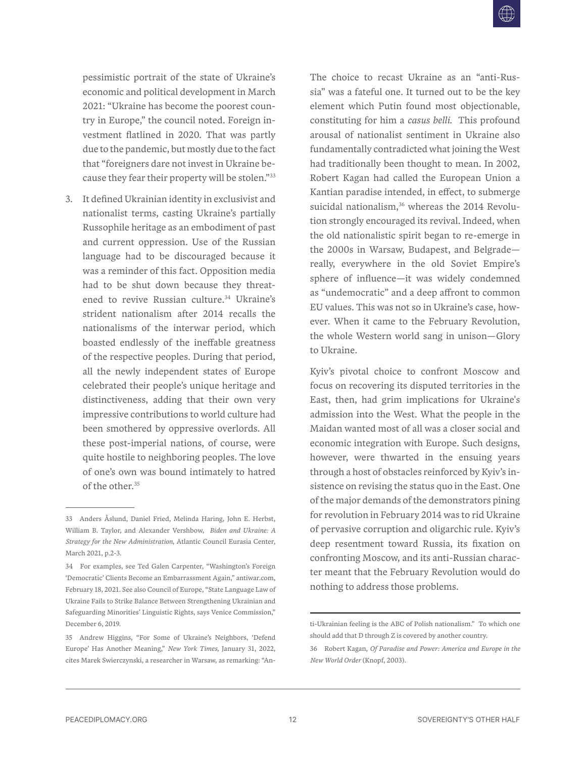pessimistic portrait of the state of Ukraine's economic and political development in March 2021: "Ukraine has become the poorest country in Europe," the council noted. Foreign investment flatlined in 2020. That was partly due to the pandemic, but mostly due to the fact that "foreigners dare not invest in Ukraine because they fear their property will be stolen."33

3. It defined Ukrainian identity in exclusivist and nationalist terms, casting Ukraine's partially Russophile heritage as an embodiment of past and current oppression. Use of the Russian language had to be discouraged because it was a reminder of this fact. Opposition media had to be shut down because they threatened to revive Russian culture.<sup>34</sup> Ukraine's strident nationalism after 2014 recalls the nationalisms of the interwar period, which boasted endlessly of the ineffable greatness of the respective peoples. During that period, all the newly independent states of Europe celebrated their people's unique heritage and distinctiveness, adding that their own very impressive contributions to world culture had been smothered by oppressive overlords. All these post-imperial nations, of course, were quite hostile to neighboring peoples. The love of one's own was bound intimately to hatred of the other.35

The choice to recast Ukraine as an "anti-Russia" was a fateful one. It turned out to be the key element which Putin found most objectionable, constituting for him a *casus belli*. This profound arousal of nationalist sentiment in Ukraine also fundamentally contradicted what joining the West had traditionally been thought to mean. In 2002, Robert Kagan had called the European Union a Kantian paradise intended, in effect, to submerge suicidal nationalism, $36$  whereas the 2014 Revolution strongly encouraged its revival. Indeed, when the old nationalistic spirit began to re-emerge in the 2000s in Warsaw, Budapest, and Belgrade really, everywhere in the old Soviet Empire's sphere of influence—it was widely condemned as "undemocratic" and a deep affront to common EU values. This was not so in Ukraine's case, however. When it came to the February Revolution, the whole Western world sang in unison—Glory to Ukraine.

Kyiv's pivotal choice to confront Moscow and focus on recovering its disputed territories in the East, then, had grim implications for Ukraine's admission into the West. What the people in the Maidan wanted most of all was a closer social and economic integration with Europe. Such designs, however, were thwarted in the ensuing years through a host of obstacles reinforced by Kyiv's insistence on revising the status quo in the East. One of the major demands of the demonstrators pining for revolution in February 2014 was to rid Ukraine of pervasive corruption and oligarchic rule. Kyiv's deep resentment toward Russia, its fixation on confronting Moscow, and its anti-Russian character meant that the February Revolution would do nothing to address those problems.

<sup>33</sup> Anders Åslund, Daniel Fried, Melinda Haring, John E. Herbst, William B. Taylor, and Alexander Vershbow, *Biden and Ukraine: A Strategy for the New Administration*, Atlantic Council Eurasia Center, March 2021, p.2-3.

<sup>34</sup> For examples, see Ted Galen Carpenter, "Washington's Foreign 'Democratic' Clients Become an Embarrassment Again," antiwar.com, February 18, 2021. See also Council of Europe, "State Language Law of Ukraine Fails to Strike Balance Between Strengthening Ukrainian and Safeguarding Minorities' Linguistic Rights, says Venice Commission," December 6, 2019.

<sup>35</sup> Andrew Higgins, "For Some of Ukraine's Neighbors, 'Defend Europe' Has Another Meaning," *New York Times,* January 31, 2022, cites Marek Swierczynski, a researcher in Warsaw, as remarking: "An-

ti-Ukrainian feeling is the ABC of Polish nationalism." To which one should add that D through Z is covered by another country.

<sup>36</sup> Robert Kagan, *Of Paradise and Power: America and Europe in the New World Order* (Knopf, 2003).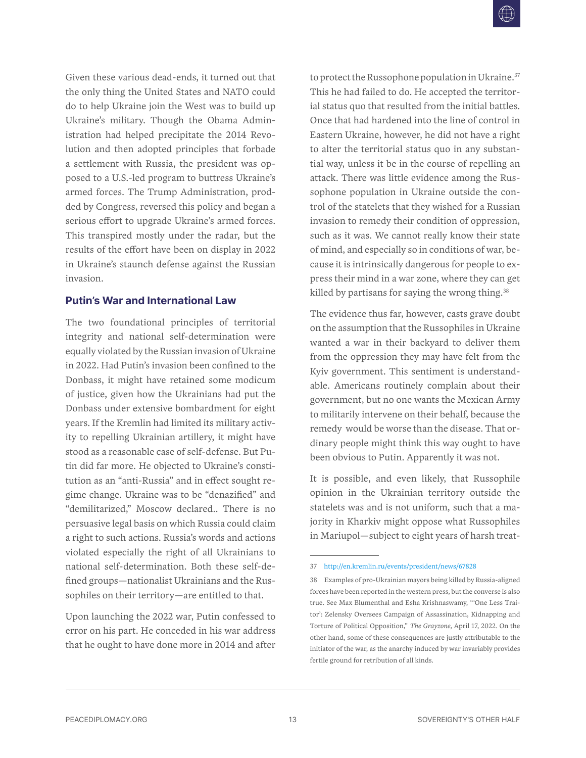<span id="page-14-0"></span>Given these various dead-ends, it turned out that the only thing the United States and NATO could do to help Ukraine join the West was to build up Ukraine's military. Though the Obama Administration had helped precipitate the 2014 Revolution and then adopted principles that forbade a settlement with Russia, the president was opposed to a U.S.-led program to buttress Ukraine's armed forces. The Trump Administration, prodded by Congress, reversed this policy and began a serious effort to upgrade Ukraine's armed forces. This transpired mostly under the radar, but the results of the effort have been on display in 2022 in Ukraine's staunch defense against the Russian invasion.

#### **Putin's War and International Law**

The two foundational principles of territorial integrity and national self-determination were equally violated by the Russian invasion of Ukraine in 2022. Had Putin's invasion been confined to the Donbass, it might have retained some modicum of justice, given how the Ukrainians had put the Donbass under extensive bombardment for eight years. If the Kremlin had limited its military activity to repelling Ukrainian artillery, it might have stood as a reasonable case of self-defense. But Putin did far more. He objected to Ukraine's constitution as an "anti-Russia" and in effect sought regime change. Ukraine was to be "denazified" and "demilitarized," Moscow declared.. There is no persuasive legal basis on which Russia could claim a right to such actions. Russia's words and actions violated especially the right of all Ukrainians to national self-determination. Both these self-defined groups—nationalist Ukrainians and the Russophiles on their territory—are entitled to that.

Upon launching the 2022 war, Putin confessed to error on his part. He conceded in his war address that he ought to have done more in 2014 and after to protect the Russophone population in Ukraine.<sup>37</sup> This he had failed to do. He accepted the territorial status quo that resulted from the initial battles. Once that had hardened into the line of control in Eastern Ukraine, however, he did not have a right to alter the territorial status quo in any substantial way, unless it be in the course of repelling an attack. There was little evidence among the Russophone population in Ukraine outside the control of the statelets that they wished for a Russian invasion to remedy their condition of oppression, such as it was. We cannot really know their state of mind, and especially so in conditions of war, because it is intrinsically dangerous for people to express their mind in a war zone, where they can get killed by partisans for saying the wrong thing.<sup>38</sup>

The evidence thus far, however, casts grave doubt on the assumption that the Russophiles in Ukraine wanted a war in their backyard to deliver them from the oppression they may have felt from the Kyiv government. This sentiment is understandable. Americans routinely complain about their government, but no one wants the Mexican Army to militarily intervene on their behalf, because the remedy would be worse than the disease. That ordinary people might think this way ought to have been obvious to Putin. Apparently it was not.

It is possible, and even likely, that Russophile opinion in the Ukrainian territory outside the statelets was and is not uniform, such that a majority in Kharkiv might oppose what Russophiles in Mariupol—subject to eight years of harsh treat-

<sup>37</sup> <http://en.kremlin.ru/events/president/news/67828>

<sup>38</sup> Examples of pro-Ukrainian mayors being killed by Russia-aligned forces have been reported in the western press, but the converse is also true. See Max Blumenthal and Esha Krishnaswamy, "'One Less Traitor': Zelensky Oversees Campaign of Assassination, Kidnapping and Torture of Political Opposition," *The Grayzone,* April 17, 2022. On the other hand, some of these consequences are justly attributable to the initiator of the war, as the anarchy induced by war invariably provides fertile ground for retribution of all kinds.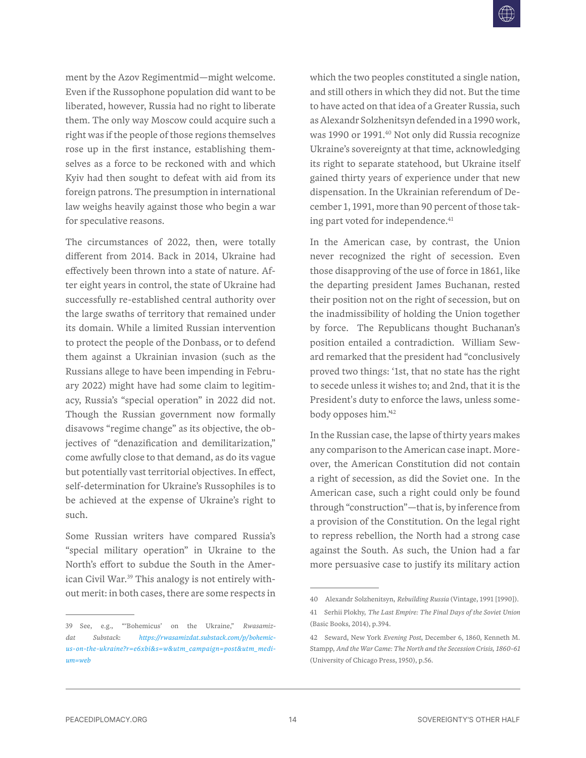ment by the Azov Regimentmid—might welcome. Even if the Russophone population did want to be liberated, however, Russia had no right to liberate them. The only way Moscow could acquire such a right was if the people of those regions themselves rose up in the first instance, establishing themselves as a force to be reckoned with and which Kyiv had then sought to defeat with aid from its foreign patrons. The presumption in international law weighs heavily against those who begin a war for speculative reasons.

The circumstances of 2022, then, were totally different from 2014. Back in 2014, Ukraine had effectively been thrown into a state of nature. After eight years in control, the state of Ukraine had successfully re-established central authority over the large swaths of territory that remained under its domain. While a limited Russian intervention to protect the people of the Donbass, or to defend them against a Ukrainian invasion (such as the Russians allege to have been impending in February 2022) might have had some claim to legitimacy, Russia's "special operation" in 2022 did not. Though the Russian government now formally disavows "regime change" as its objective, the objectives of "denazification and demilitarization," come awfully close to that demand, as do its vague but potentially vast territorial objectives. In effect, self-determination for Ukraine's Russophiles is to be achieved at the expense of Ukraine's right to such.

Some Russian writers have compared Russia's "special military operation" in Ukraine to the North's effort to subdue the South in the American Civil War.<sup>39</sup> This analogy is not entirely without merit: in both cases, there are some respects in which the two peoples constituted a single nation, and still others in which they did not. But the time to have acted on that idea of a Greater Russia, such as Alexandr Solzhenitsyn defended in a 1990 work, was 1990 or 1991.<sup>40</sup> Not only did Russia recognize Ukraine's sovereignty at that time, acknowledging its right to separate statehood, but Ukraine itself gained thirty years of experience under that new dispensation. In the Ukrainian referendum of December 1, 1991, more than 90 percent of those taking part voted for independence.<sup>41</sup>

In the American case, by contrast, the Union never recognized the right of secession. Even those disapproving of the use of force in 1861, like the departing president James Buchanan, rested their position not on the right of secession, but on the inadmissibility of holding the Union together by force. The Republicans thought Buchanan's position entailed a contradiction. William Seward remarked that the president had "conclusively proved two things: '1st, that no state has the right to secede unless it wishes to; and 2nd, that it is the President's duty to enforce the laws, unless somebody opposes him.<sup>42</sup>

In the Russian case, the lapse of thirty years makes any comparison to the American case inapt. Moreover, the American Constitution did not contain a right of secession, as did the Soviet one. In the American case, such a right could only be found through "construction"—that is, by inference from a provision of the Constitution. On the legal right to repress rebellion, the North had a strong case against the South. As such, the Union had a far more persuasive case to justify its military action

<sup>39</sup> See, e.g., "'Bohemicus' on the Ukraine," *Rwasamizdat Substack*: *[https://rwasamizdat.substack.com/p/bohemic](https://rwasamizdat.substack.com/p/bohemicus-on-the-ukraine?r=e6xbi&s=w&utm_campaign=post&utm_medium=web)[us-on-the-ukraine?r=e6xbi&s=w&utm\\_campaign=post&utm\\_medi](https://rwasamizdat.substack.com/p/bohemicus-on-the-ukraine?r=e6xbi&s=w&utm_campaign=post&utm_medium=web)[um=web](https://rwasamizdat.substack.com/p/bohemicus-on-the-ukraine?r=e6xbi&s=w&utm_campaign=post&utm_medium=web)*

<sup>40</sup> Alexandr Solzhenitsyn, *Rebuilding Russia* (Vintage, 1991 [1990]).

<sup>41</sup> Serhii Plokhy, *The Last Empire: The Final Days of the Soviet Union* (Basic Books, 2014), p.394.

<sup>42</sup> Seward, New York *Evening Post*, December 6, 1860, Kenneth M. Stampp, *And the War Came: The North and the Secession Crisis, 1860-61* (University of Chicago Press, 1950), p.56.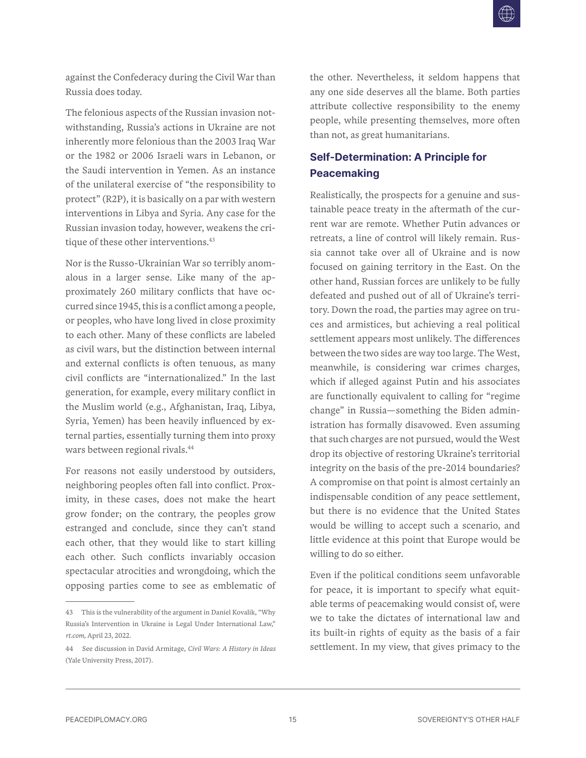<span id="page-16-0"></span>against the Confederacy during the Civil War than Russia does today.

The felonious aspects of the Russian invasion notwithstanding, Russia's actions in Ukraine are not inherently more felonious than the 2003 Iraq War or the 1982 or 2006 Israeli wars in Lebanon, or the Saudi intervention in Yemen. As an instance of the unilateral exercise of "the responsibility to protect" (R2P), it is basically on a par with western interventions in Libya and Syria. Any case for the Russian invasion today, however, weakens the critique of these other interventions.<sup>43</sup>

Nor is the Russo-Ukrainian War so terribly anomalous in a larger sense. Like many of the approximately 260 military conflicts that have occurred since 1945, this is a conflict among a people, or peoples, who have long lived in close proximity to each other. Many of these conflicts are labeled as civil wars, but the distinction between internal and external conflicts is often tenuous, as many civil conflicts are "internationalized." In the last generation, for example, every military conflict in the Muslim world (e.g., Afghanistan, Iraq, Libya, Syria, Yemen) has been heavily influenced by external parties, essentially turning them into proxy wars between regional rivals.44

For reasons not easily understood by outsiders, neighboring peoples often fall into conflict. Proximity, in these cases, does not make the heart grow fonder; on the contrary, the peoples grow estranged and conclude, since they can't stand each other, that they would like to start killing each other. Such conflicts invariably occasion spectacular atrocities and wrongdoing, which the opposing parties come to see as emblematic of the other. Nevertheless, it seldom happens that any one side deserves all the blame. Both parties attribute collective responsibility to the enemy people, while presenting themselves, more often than not, as great humanitarians.

## **Self-Determination: A Principle for Peacemaking**

Realistically, the prospects for a genuine and sustainable peace treaty in the aftermath of the current war are remote. Whether Putin advances or retreats, a line of control will likely remain. Russia cannot take over all of Ukraine and is now focused on gaining territory in the East. On the other hand, Russian forces are unlikely to be fully defeated and pushed out of all of Ukraine's territory. Down the road, the parties may agree on truces and armistices, but achieving a real political settlement appears most unlikely. The differences between the two sides are way too large. The West, meanwhile, is considering war crimes charges, which if alleged against Putin and his associates are functionally equivalent to calling for "regime change" in Russia—something the Biden administration has formally disavowed. Even assuming that such charges are not pursued, would the West drop its objective of restoring Ukraine's territorial integrity on the basis of the pre-2014 boundaries? A compromise on that point is almost certainly an indispensable condition of any peace settlement, but there is no evidence that the United States would be willing to accept such a scenario, and little evidence at this point that Europe would be willing to do so either.

Even if the political conditions seem unfavorable for peace, it is important to specify what equitable terms of peacemaking would consist of, were we to take the dictates of international law and its built-in rights of equity as the basis of a fair settlement. In my view, that gives primacy to the

<sup>43</sup> This is the vulnerability of the argument in Daniel Kovalik, "Why Russia's Intervention in Ukraine is Legal Under International Law," *rt.com,* April 23, 2022.

<sup>44</sup> See discussion in David Armitage, *Civil Wars: A History in Ideas* (Yale University Press, 2017).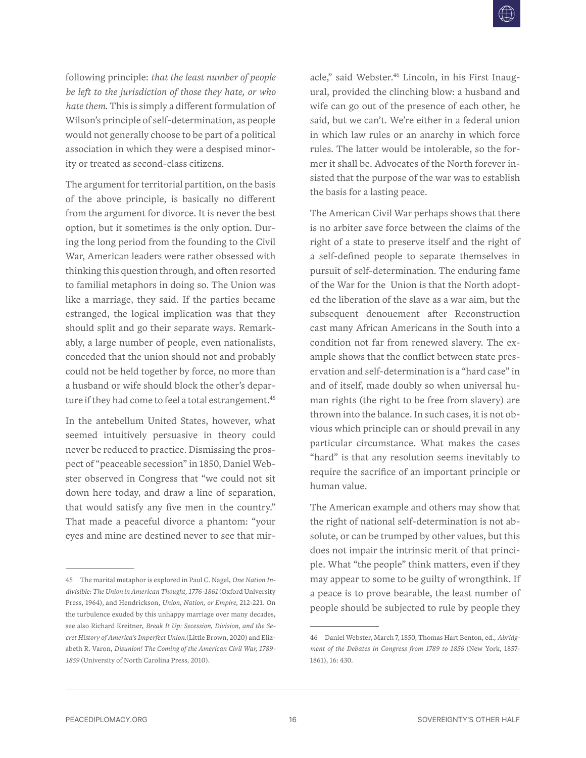following principle: *that the least number of people be left to the jurisdiction of those they hate, or who hate them*. This is simply a different formulation of Wilson's principle of self-determination, as people would not generally choose to be part of a political association in which they were a despised minority or treated as second-class citizens.

The argument for territorial partition, on the basis of the above principle, is basically no different from the argument for divorce. It is never the best option, but it sometimes is the only option. During the long period from the founding to the Civil War, American leaders were rather obsessed with thinking this question through, and often resorted to familial metaphors in doing so. The Union was like a marriage, they said. If the parties became estranged, the logical implication was that they should split and go their separate ways. Remarkably, a large number of people, even nationalists, conceded that the union should not and probably could not be held together by force, no more than a husband or wife should block the other's departure if they had come to feel a total estrangement.<sup>45</sup>

In the antebellum United States, however, what seemed intuitively persuasive in theory could never be reduced to practice. Dismissing the prospect of "peaceable secession" in 1850, Daniel Webster observed in Congress that "we could not sit down here today, and draw a line of separation, that would satisfy any five men in the country." That made a peaceful divorce a phantom: "your eyes and mine are destined never to see that miracle," said Webster.<sup>46</sup> Lincoln, in his First Inaugural, provided the clinching blow: a husband and wife can go out of the presence of each other, he said, but we can't. We're either in a federal union in which law rules or an anarchy in which force rules. The latter would be intolerable, so the former it shall be. Advocates of the North forever insisted that the purpose of the war was to establish the basis for a lasting peace.

The American Civil War perhaps shows that there is no arbiter save force between the claims of the right of a state to preserve itself and the right of a self-defined people to separate themselves in pursuit of self-determination. The enduring fame of the War for the Union is that the North adopted the liberation of the slave as a war aim, but the subsequent denouement after Reconstruction cast many African Americans in the South into a condition not far from renewed slavery. The example shows that the conflict between state preservation and self-determination is a "hard case" in and of itself, made doubly so when universal human rights (the right to be free from slavery) are thrown into the balance. In such cases, it is not obvious which principle can or should prevail in any particular circumstance. What makes the cases "hard" is that any resolution seems inevitably to require the sacrifice of an important principle or human value.

The American example and others may show that the right of national self-determination is not absolute, or can be trumped by other values, but this does not impair the intrinsic merit of that principle. What "the people" think matters, even if they may appear to some to be guilty of wrongthink. If a peace is to prove bearable, the least number of people should be subjected to rule by people they

<sup>45</sup> The marital metaphor is explored in Paul C. Nagel, *One Nation Indivisible: The Union in American Thought, 1776-1861* (Oxford University Press, 1964), and Hendrickson, *Union, Nation, or Empire*, 212-221. On the turbulence exuded by this unhappy marriage over many decades, see also Richard Kreitner, *Break It Up: Secession, Division, and the Secret History of America's Imperfect Union*.(Little Brown, 2020) and Elizabeth R. Varon, *Disunion! The Coming of the American Civil War, 1789- 1859* (University of North Carolina Press, 2010).

<sup>46</sup> Daniel Webster, March 7, 1850, Thomas Hart Benton, ed., *Abridgment of the Debates in Congress from 1789 to 1856* (New York, 1857- 1861), 16: 430.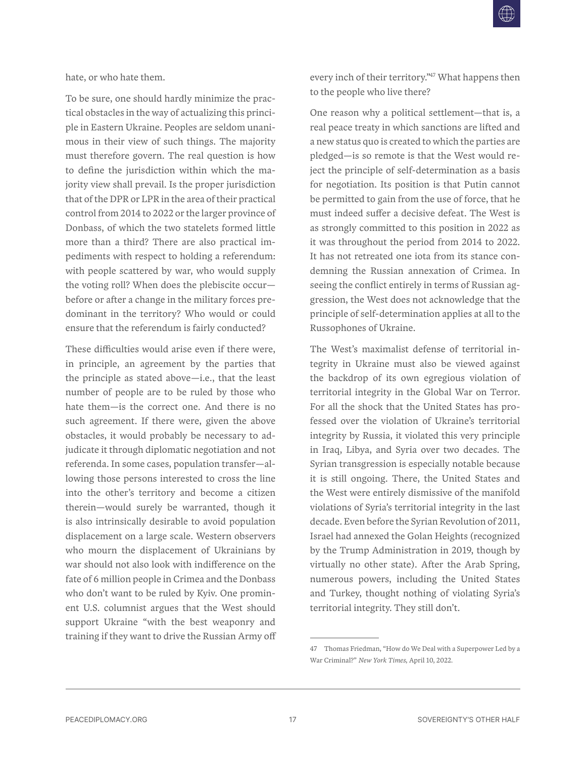hate, or who hate them.

To be sure, one should hardly minimize the practical obstacles in the way of actualizing this principle in Eastern Ukraine. Peoples are seldom unanimous in their view of such things. The majority must therefore govern. The real question is how to define the jurisdiction within which the majority view shall prevail. Is the proper jurisdiction that of the DPR or LPR in the area of their practical control from 2014 to 2022 or the larger province of Donbass, of which the two statelets formed little more than a third? There are also practical impediments with respect to holding a referendum: with people scattered by war, who would supply the voting roll? When does the plebiscite occur before or after a change in the military forces predominant in the territory? Who would or could ensure that the referendum is fairly conducted?

These difficulties would arise even if there were, in principle, an agreement by the parties that the principle as stated above—i.e., that the least number of people are to be ruled by those who hate them—is the correct one. And there is no such agreement. If there were, given the above obstacles, it would probably be necessary to adjudicate it through diplomatic negotiation and not referenda. In some cases, population transfer—allowing those persons interested to cross the line into the other's territory and become a citizen therein—would surely be warranted, though it is also intrinsically desirable to avoid population displacement on a large scale. Western observers who mourn the displacement of Ukrainians by war should not also look with indifference on the fate of 6 million people in Crimea and the Donbass who don't want to be ruled by Kyiv. One prominent U.S. columnist argues that the West should support Ukraine "with the best weaponry and training if they want to drive the Russian Army off

every inch of their territory.<sup>247</sup> What happens then to the people who live there?

One reason why a political settlement—that is, a real peace treaty in which sanctions are lifted and a new status quo is created to which the parties are pledged—is so remote is that the West would reject the principle of self-determination as a basis for negotiation. Its position is that Putin cannot be permitted to gain from the use of force, that he must indeed suffer a decisive defeat. The West is as strongly committed to this position in 2022 as it was throughout the period from 2014 to 2022. It has not retreated one iota from its stance condemning the Russian annexation of Crimea. In seeing the conflict entirely in terms of Russian aggression, the West does not acknowledge that the principle of self-determination applies at all to the Russophones of Ukraine.

The West's maximalist defense of territorial integrity in Ukraine must also be viewed against the backdrop of its own egregious violation of territorial integrity in the Global War on Terror. For all the shock that the United States has professed over the violation of Ukraine's territorial integrity by Russia, it violated this very principle in Iraq, Libya, and Syria over two decades. The Syrian transgression is especially notable because it is still ongoing. There, the United States and the West were entirely dismissive of the manifold violations of Syria's territorial integrity in the last decade. Even before the Syrian Revolution of 2011, Israel had annexed the Golan Heights (recognized by the Trump Administration in 2019, though by virtually no other state). After the Arab Spring, numerous powers, including the United States and Turkey, thought nothing of violating Syria's territorial integrity. They still don't.

<sup>47</sup> Thomas Friedman, "How do We Deal with a Superpower Led by a War Criminal?" *New York Times*, April 10, 2022.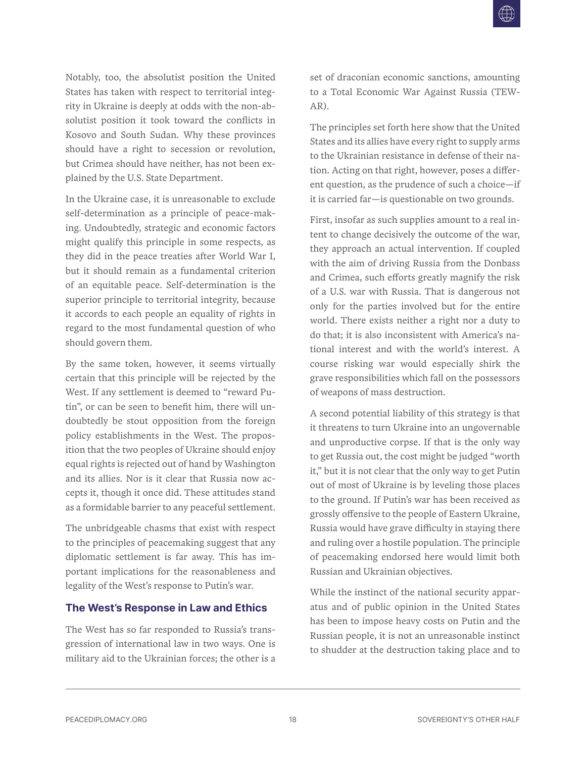<span id="page-19-0"></span>Notably, too, the absolutist position the United States has taken with respect to territorial integrity in Ukraine is deeply at odds with the non-absolutist position it took toward the conflicts in Kosovo and South Sudan. Why these provinces should have a right to secession or revolution, but Crimea should have neither, has not been explained by the U.S. State Department.

In the Ukraine case, it is unreasonable to exclude self-determination as a principle of peace-making. Undoubtedly, strategic and economic factors might qualify this principle in some respects, as they did in the peace treaties after World War I, but it should remain as a fundamental criterion of an equitable peace. Self-determination is the superior principle to territorial integrity, because it accords to each people an equality of rights in regard to the most fundamental question of who should govern them.

By the same token, however, it seems virtually certain that this principle will be rejected by the West. If any settlement is deemed to "reward Putin", or can be seen to benefit him, there will undoubtedly be stout opposition from the foreign policy establishments in the West. The proposition that the two peoples of Ukraine should enjoy equal rights is rejected out of hand by Washington and its allies. Nor is it clear that Russia now accepts it, though it once did. These attitudes stand as a formidable barrier to any peaceful settlement.

The unbridgeable chasms that exist with respect to the principles of peacemaking suggest that any diplomatic settlement is far away. This has important implications for the reasonableness and legality of the West's response to Putin's war.

#### **The West's Response in Law and Ethics**

The West has so far responded to Russia's transgression of international law in two ways. One is military aid to the Ukrainian forces; the other is a set of draconian economic sanctions, amounting to a Total Economic War Against Russia (TEW-AR).

The principles set forth here show that the United States and its allies have every right to supply arms to the Ukrainian resistance in defense of their nation. Acting on that right, however, poses a different question, as the prudence of such a choice—if it is carried far—is questionable on two grounds.

First, insofar as such supplies amount to a real intent to change decisively the outcome of the war, they approach an actual intervention. If coupled with the aim of driving Russia from the Donbass and Crimea, such efforts greatly magnify the risk of a U.S. war with Russia. That is dangerous not only for the parties involved but for the entire world. There exists neither a right nor a duty to do that; it is also inconsistent with America's national interest and with the world's interest. A course risking war would especially shirk the grave responsibilities which fall on the possessors of weapons of mass destruction.

A second potential liability of this strategy is that it threatens to turn Ukraine into an ungovernable and unproductive corpse. If that is the only way to get Russia out, the cost might be judged "worth it," but it is not clear that the only way to get Putin out of most of Ukraine is by leveling those places to the ground. If Putin's war has been received as grossly offensive to the people of Eastern Ukraine, Russia would have grave difficulty in staying there and ruling over a hostile population. The principle of peacemaking endorsed here would limit both Russian and Ukrainian objectives.

While the instinct of the national security apparatus and of public opinion in the United States has been to impose heavy costs on Putin and the Russian people, it is not an unreasonable instinct to shudder at the destruction taking place and to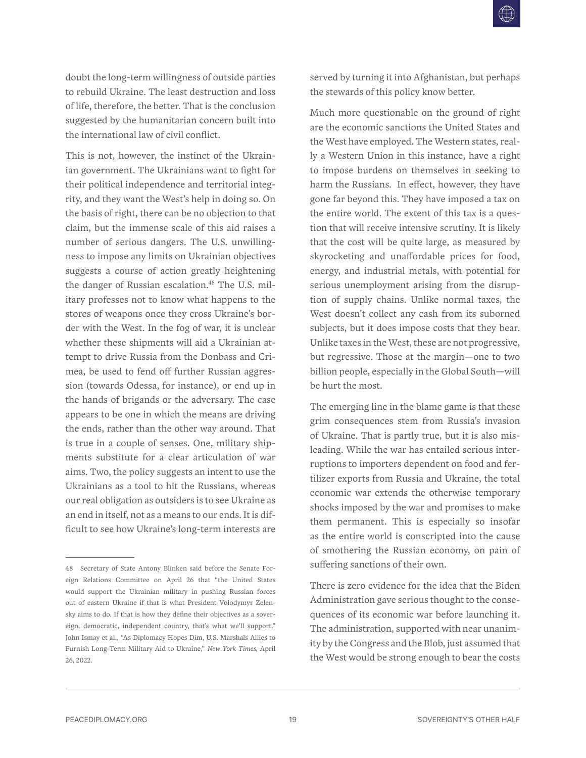doubt the long-term willingness of outside parties to rebuild Ukraine. The least destruction and loss of life, therefore, the better. That is the conclusion suggested by the humanitarian concern built into the international law of civil conflict.

This is not, however, the instinct of the Ukrainian government. The Ukrainians want to fight for their political independence and territorial integrity, and they want the West's help in doing so. On the basis of right, there can be no objection to that claim, but the immense scale of this aid raises a number of serious dangers. The U.S. unwillingness to impose any limits on Ukrainian objectives suggests a course of action greatly heightening the danger of Russian escalation.<sup>48</sup> The U.S. military professes not to know what happens to the stores of weapons once they cross Ukraine's border with the West. In the fog of war, it is unclear whether these shipments will aid a Ukrainian attempt to drive Russia from the Donbass and Crimea, be used to fend off further Russian aggression (towards Odessa, for instance), or end up in the hands of brigands or the adversary. The case appears to be one in which the means are driving the ends, rather than the other way around. That is true in a couple of senses. One, military shipments substitute for a clear articulation of war aims. Two, the policy suggests an intent to use the Ukrainians as a tool to hit the Russians, whereas our real obligation as outsiders is to see Ukraine as an end in itself, not as a means to our ends. It is difficult to see how Ukraine's long-term interests are

served by turning it into Afghanistan, but perhaps the stewards of this policy know better.

Much more questionable on the ground of right are the economic sanctions the United States and the West have employed. The Western states, really a Western Union in this instance, have a right to impose burdens on themselves in seeking to harm the Russians. In effect, however, they have gone far beyond this. They have imposed a tax on the entire world. The extent of this tax is a question that will receive intensive scrutiny. It is likely that the cost will be quite large, as measured by skyrocketing and unaffordable prices for food, energy, and industrial metals, with potential for serious unemployment arising from the disruption of supply chains. Unlike normal taxes, the West doesn't collect any cash from its suborned subjects, but it does impose costs that they bear. Unlike taxes in the West, these are not progressive, but regressive. Those at the margin—one to two billion people, especially in the Global South—will be hurt the most.

The emerging line in the blame game is that these grim consequences stem from Russia's invasion of Ukraine. That is partly true, but it is also misleading. While the war has entailed serious interruptions to importers dependent on food and fertilizer exports from Russia and Ukraine, the total economic war extends the otherwise temporary shocks imposed by the war and promises to make them permanent. This is especially so insofar as the entire world is conscripted into the cause of smothering the Russian economy, on pain of suffering sanctions of their own.

There is zero evidence for the idea that the Biden Administration gave serious thought to the consequences of its economic war before launching it. The administration, supported with near unanimity by the Congress and the Blob, just assumed that the West would be strong enough to bear the costs

<sup>48</sup> Secretary of State Antony Blinken said before the Senate Foreign Relations Committee on April 26 that "the United States would support the Ukrainian military in pushing Russian forces out of eastern Ukraine if that is what President Volodymyr Zelensky aims to do. If that is how they define their objectives as a sovereign, democratic, independent country, that's what we'll support." John Ismay et al., "As Diplomacy Hopes Dim, U.S. Marshals Allies to Furnish Long-Term Military Aid to Ukraine," *New York Times*, April 26, 2022.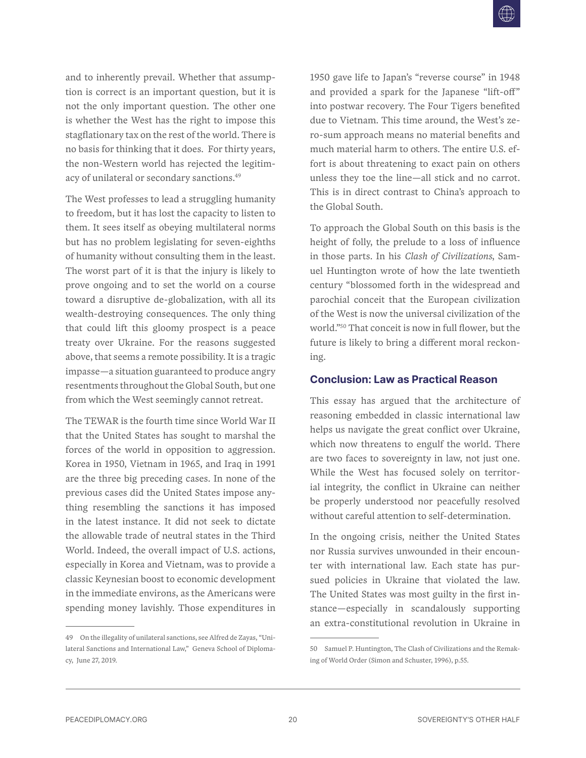<span id="page-21-0"></span>and to inherently prevail. Whether that assumption is correct is an important question, but it is not the only important question. The other one is whether the West has the right to impose this stagflationary tax on the rest of the world. There is no basis for thinking that it does. For thirty years, the non-Western world has rejected the legitimacy of unilateral or secondary sanctions.49

The West professes to lead a struggling humanity to freedom, but it has lost the capacity to listen to them. It sees itself as obeying multilateral norms but has no problem legislating for seven-eighths of humanity without consulting them in the least. The worst part of it is that the injury is likely to prove ongoing and to set the world on a course toward a disruptive de-globalization, with all its wealth-destroying consequences. The only thing that could lift this gloomy prospect is a peace treaty over Ukraine. For the reasons suggested above, that seems a remote possibility. It is a tragic impasse—a situation guaranteed to produce angry resentments throughout the Global South, but one from which the West seemingly cannot retreat.

The TEWAR is the fourth time since World War II that the United States has sought to marshal the forces of the world in opposition to aggression. Korea in 1950, Vietnam in 1965, and Iraq in 1991 are the three big preceding cases. In none of the previous cases did the United States impose anything resembling the sanctions it has imposed in the latest instance. It did not seek to dictate the allowable trade of neutral states in the Third World. Indeed, the overall impact of U.S. actions, especially in Korea and Vietnam, was to provide a classic Keynesian boost to economic development in the immediate environs, as the Americans were spending money lavishly. Those expenditures in

49 On the illegality of unilateral sanctions, see Alfred de Zayas, "Unilateral Sanctions and International Law," Geneva School of Diplomacy, June 27, 2019.

1950 gave life to Japan's "reverse course" in 1948 and provided a spark for the Japanese "lift-off" into postwar recovery. The Four Tigers benefited due to Vietnam. This time around, the West's zero-sum approach means no material benefits and much material harm to others. The entire U.S. effort is about threatening to exact pain on others unless they toe the line—all stick and no carrot. This is in direct contrast to China's approach to the Global South.

To approach the Global South on this basis is the height of folly, the prelude to a loss of influence in those parts. In his *Clash of Civilizations*, Samuel Huntington wrote of how the late twentieth century "blossomed forth in the widespread and parochial conceit that the European civilization of the West is now the universal civilization of the world."50 That conceit is now in full flower, but the future is likely to bring a different moral reckoning.

#### **Conclusion: Law as Practical Reason**

This essay has argued that the architecture of reasoning embedded in classic international law helps us navigate the great conflict over Ukraine, which now threatens to engulf the world. There are two faces to sovereignty in law, not just one. While the West has focused solely on territorial integrity, the conflict in Ukraine can neither be properly understood nor peacefully resolved without careful attention to self-determination.

In the ongoing crisis, neither the United States nor Russia survives unwounded in their encounter with international law. Each state has pursued policies in Ukraine that violated the law. The United States was most guilty in the first instance—especially in scandalously supporting an extra-constitutional revolution in Ukraine in

<sup>50</sup> Samuel P. Huntington, The Clash of Civilizations and the Remaking of World Order (Simon and Schuster, 1996), p.55.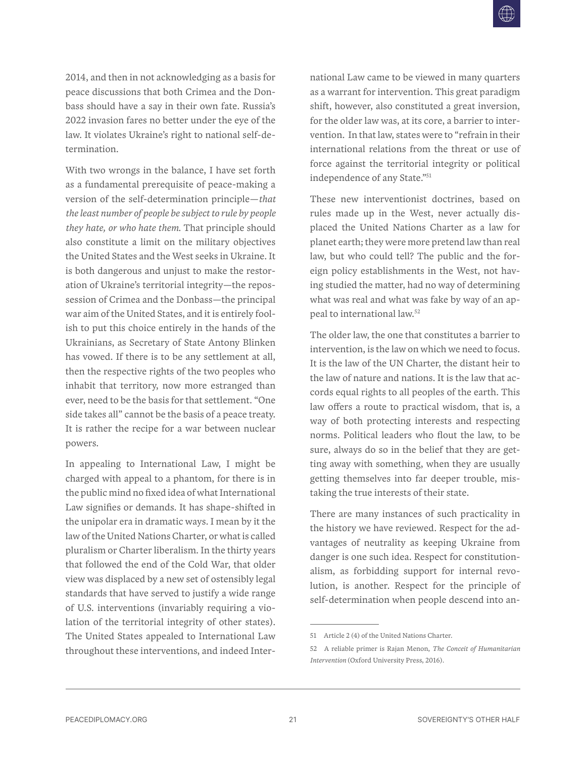2014, and then in not acknowledging as a basis for peace discussions that both Crimea and the Donbass should have a say in their own fate. Russia's 2022 invasion fares no better under the eye of the law. It violates Ukraine's right to national self-determination.

With two wrongs in the balance, I have set forth as a fundamental prerequisite of peace-making a version of the self-determination principle—*that the least number of people be subject to rule by people they hate, or who hate them*. That principle should also constitute a limit on the military objectives the United States and the West seeks in Ukraine. It is both dangerous and unjust to make the restoration of Ukraine's territorial integrity—the repossession of Crimea and the Donbass—the principal war aim of the United States, and it is entirely foolish to put this choice entirely in the hands of the Ukrainians, as Secretary of State Antony Blinken has vowed. If there is to be any settlement at all, then the respective rights of the two peoples who inhabit that territory, now more estranged than ever, need to be the basis for that settlement. "One side takes all" cannot be the basis of a peace treaty. It is rather the recipe for a war between nuclear powers.

In appealing to International Law, I might be charged with appeal to a phantom, for there is in the public mind no fixed idea of what International Law signifies or demands. It has shape-shifted in the unipolar era in dramatic ways. I mean by it the law of the United Nations Charter, or what is called pluralism or Charter liberalism. In the thirty years that followed the end of the Cold War, that older view was displaced by a new set of ostensibly legal standards that have served to justify a wide range of U.S. interventions (invariably requiring a violation of the territorial integrity of other states). The United States appealed to International Law throughout these interventions, and indeed International Law came to be viewed in many quarters as a warrant for intervention. This great paradigm shift, however, also constituted a great inversion, for the older law was, at its core, a barrier to intervention. In that law, states were to "refrain in their international relations from the threat or use of force against the territorial integrity or political independence of any State."51

These new interventionist doctrines, based on rules made up in the West, never actually displaced the United Nations Charter as a law for planet earth; they were more pretend law than real law, but who could tell? The public and the foreign policy establishments in the West, not having studied the matter, had no way of determining what was real and what was fake by way of an appeal to international law.52

The older law, the one that constitutes a barrier to intervention, is the law on which we need to focus. It is the law of the UN Charter, the distant heir to the law of nature and nations. It is the law that accords equal rights to all peoples of the earth. This law offers a route to practical wisdom, that is, a way of both protecting interests and respecting norms. Political leaders who flout the law, to be sure, always do so in the belief that they are getting away with something, when they are usually getting themselves into far deeper trouble, mistaking the true interests of their state.

There are many instances of such practicality in the history we have reviewed. Respect for the advantages of neutrality as keeping Ukraine from danger is one such idea. Respect for constitutionalism, as forbidding support for internal revolution, is another. Respect for the principle of self-determination when people descend into an-

<sup>51</sup> Article 2 (4) of the United Nations Charter.

<sup>52</sup> A reliable primer is Rajan Menon, *The Conceit of Humanitarian Intervention* (Oxford University Press, 2016).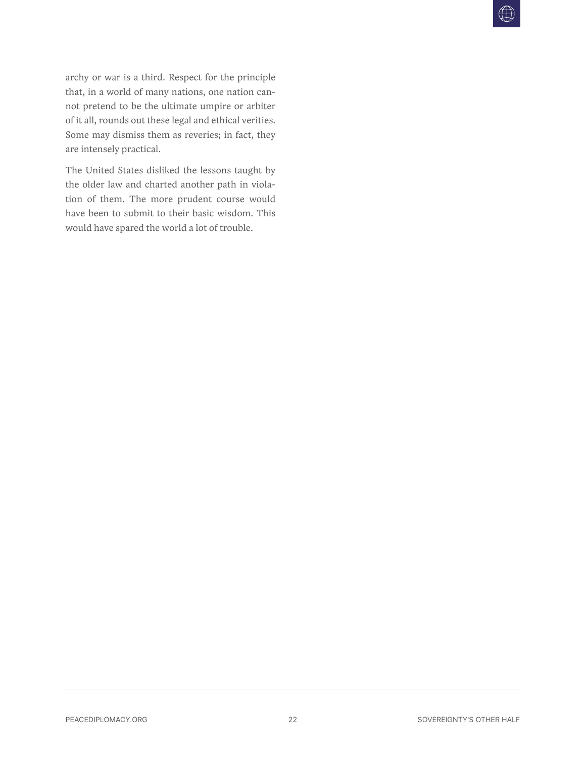archy or war is a third. Respect for the principle that, in a world of many nations, one nation cannot pretend to be the ultimate umpire or arbiter of it all, rounds out these legal and ethical verities. Some may dismiss them as reveries; in fact, they are intensely practical.

The United States disliked the lessons taught by the older law and charted another path in violation of them. The more prudent course would have been to submit to their basic wisdom. This would have spared the world a lot of trouble.